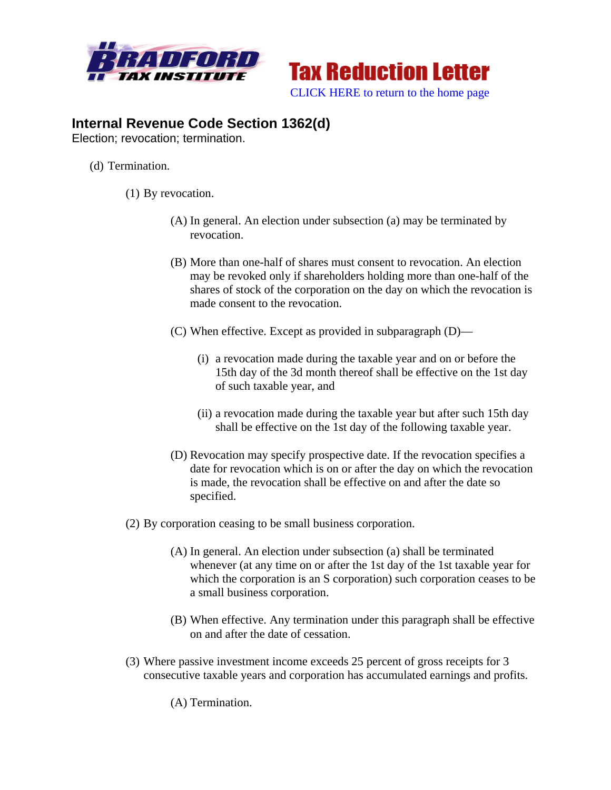



## **Internal Revenue Code Section 1362(d)**

Election; revocation; termination.

- (d) Termination.
	- (1) By revocation.
		- (A) In general. An election under subsection (a) may be terminated by revocation.
		- (B) More than one-half of shares must consent to revocation. An election may be revoked only if shareholders holding more than one-half of the shares of stock of the corporation on the day on which the revocation is made consent to the revocation.
		- (C) When effective. Except as provided in subparagraph (D)—
			- (i) a revocation made during the taxable year and on or before the 15th day of the 3d month thereof shall be effective on the 1st day of such taxable year, and
			- (ii) a revocation made during the taxable year but after such 15th day shall be effective on the 1st day of the following taxable year.
		- (D) Revocation may specify prospective date. If the revocation specifies a date for revocation which is on or after the day on which the revocation is made, the revocation shall be effective on and after the date so specified.
	- (2) By corporation ceasing to be small business corporation.
		- (A) In general. An election under subsection (a) shall be terminated whenever (at any time on or after the 1st day of the 1st taxable year for which the corporation is an S corporation) such corporation ceases to be a small business corporation.
		- (B) When effective. Any termination under this paragraph shall be effective on and after the date of cessation.
	- (3) Where passive investment income exceeds 25 percent of gross receipts for 3 consecutive taxable years and corporation has accumulated earnings and profits.

(A) Termination.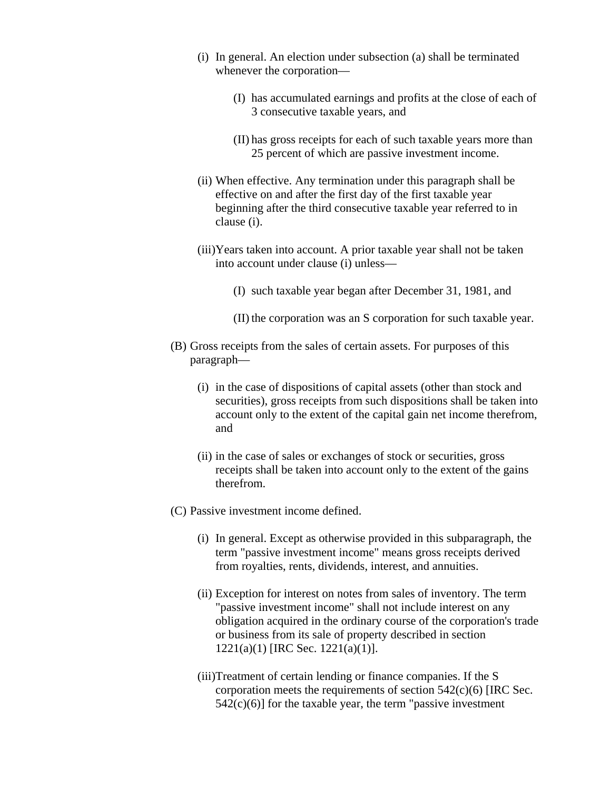- (i) In general. An election under subsection (a) shall be terminated whenever the corporation—
	- (I) has accumulated earnings and profits at the close of each of 3 consecutive taxable years, and
	- (II) has gross receipts for each of such taxable years more than 25 percent of which are passive investment income.
- (ii) When effective. Any termination under this paragraph shall be effective on and after the first day of the first taxable year beginning after the third consecutive taxable year referred to in clause (i).
- (iii)Years taken into account. A prior taxable year shall not be taken into account under clause (i) unless—
	- (I) such taxable year began after December 31, 1981, and
	- (II) the corporation was an S corporation for such taxable year.
- (B) Gross receipts from the sales of certain assets. For purposes of this paragraph—
	- (i) in the case of dispositions of capital assets (other than stock and securities), gross receipts from such dispositions shall be taken into account only to the extent of the capital gain net income therefrom, and
	- (ii) in the case of sales or exchanges of stock or securities, gross receipts shall be taken into account only to the extent of the gains therefrom.
- (C) Passive investment income defined.
	- (i) In general. Except as otherwise provided in this subparagraph, the term "passive investment income" means gross receipts derived from royalties, rents, dividends, interest, and annuities.
	- (ii) Exception for interest on notes from sales of inventory. The term "passive investment income" shall not include interest on any obligation acquired in the ordinary course of the corporation's trade or business from its sale of property described in section 1221(a)(1) [IRC Sec. 1221(a)(1)].
	- (iii)Treatment of certain lending or finance companies. If the S corporation meets the requirements of section  $542(c)(6)$  [IRC Sec.  $542(c)(6)$  for the taxable year, the term "passive investment"